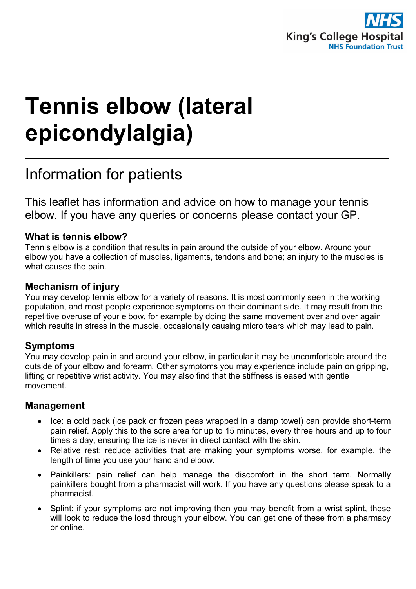

# **Tennis elbow (lateral epicondylalgia)**

# Information for patients

This leaflet has information and advice on how to manage your tennis elbow. If you have any queries or concerns please contact your GP.

#### **What is tennis elbow?**

Tennis elbow is a condition that results in pain around the outside of your elbow. Around your elbow you have a collection of muscles, ligaments, tendons and bone; an injury to the muscles is what causes the pain.

#### **Mechanism of injury**

You may develop tennis elbow for a variety of reasons. It is most commonly seen in the working population, and most people experience symptoms on their dominant side. It may result from the repetitive overuse of your elbow, for example by doing the same movement over and over again which results in stress in the muscle, occasionally causing micro tears which may lead to pain.

#### **Symptoms**

You may develop pain in and around your elbow, in particular it may be uncomfortable around the outside of your elbow and forearm. Other symptoms you may experience include pain on gripping, lifting or repetitive wrist activity. You may also find that the stiffness is eased with gentle movement.

#### **Management**

- Ice: a cold pack (ice pack or frozen peas wrapped in a damp towel) can provide short-term pain relief. Apply this to the sore area for up to 15 minutes, every three hours and up to four times a day, ensuring the ice is never in direct contact with the skin.
- Relative rest: reduce activities that are making your symptoms worse, for example, the length of time you use your hand and elbow.
- Painkillers: pain relief can help manage the discomfort in the short term. Normally painkillers bought from a pharmacist will work. If you have any questions please speak to a pharmacist.
- Splint: if your symptoms are not improving then you may benefit from a wrist splint, these will look to reduce the load through your elbow. You can get one of these from a pharmacy or online.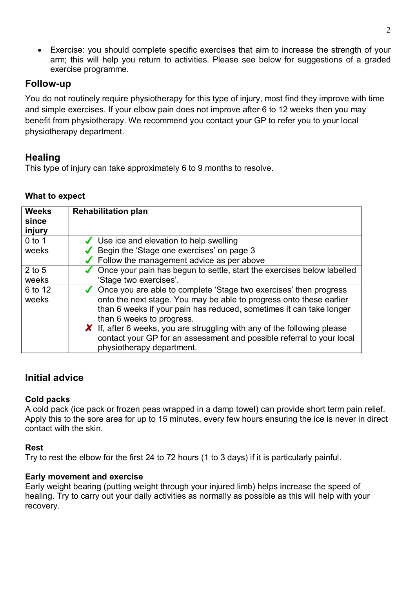• Exercise: you should complete specific exercises that aim to increase the strength of your arm; this will help you return to activities. Please see below for suggestions of a graded exercise programme.

## **Follow-up**

You do not routinely require physiotherapy for this type of injury, most find they improve with time and simple exercises. If your elbow pain does not improve after 6 to 12 weeks then you may benefit from physiotherapy. We recommend you contact your GP to refer you to your local physiotherapy department.

# **Healing**

This type of injury can take approximately 6 to 9 months to resolve.

#### **What to expect**

| <b>Weeks</b>     | <b>Rehabilitation plan</b>                                                                                                                                                                                                                     |
|------------------|------------------------------------------------------------------------------------------------------------------------------------------------------------------------------------------------------------------------------------------------|
| since            |                                                                                                                                                                                                                                                |
| injury           |                                                                                                                                                                                                                                                |
| $0$ to 1         | $\checkmark$ Use ice and elevation to help swelling                                                                                                                                                                                            |
| weeks            | Begin the 'Stage one exercises' on page 3                                                                                                                                                                                                      |
|                  | $\sqrt{\phantom{a}}$ Follow the management advice as per above                                                                                                                                                                                 |
| $2$ to 5         | $\sqrt{\phantom{a}}$ Once your pain has begun to settle, start the exercises below labelled                                                                                                                                                    |
| weeks            | 'Stage two exercises'.                                                                                                                                                                                                                         |
| 6 to 12<br>weeks | ◆ Once you are able to complete 'Stage two exercises' then progress<br>onto the next stage. You may be able to progress onto these earlier<br>than 6 weeks if your pain has reduced, sometimes it can take longer<br>than 6 weeks to progress. |
|                  | $\boldsymbol{X}$ If, after 6 weeks, you are struggling with any of the following please<br>contact your GP for an assessment and possible referral to your local<br>physiotherapy department.                                                  |

# **Initial advice**

#### **Cold packs**

A cold pack (ice pack or frozen peas wrapped in a damp towel) can provide short term pain relief. Apply this to the sore area for up to 15 minutes, every few hours ensuring the ice is never in direct contact with the skin.

#### **Rest**

Try to rest the elbow for the first 24 to 72 hours (1 to 3 days) if it is particularly painful.

#### **Early movement and exercise**

Early weight bearing (putting weight through your injured limb) helps increase the speed of healing. Try to carry out your daily activities as normally as possible as this will help with your recovery.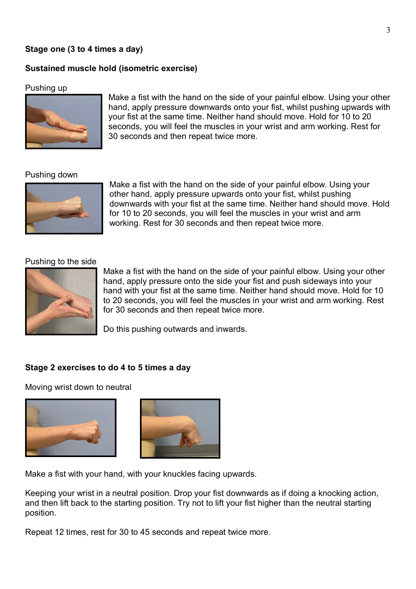#### **Stage one (3 to 4 times a day)**

#### **Sustained muscle hold (isometric exercise)**

#### Pushing up



Make a fist with the hand on the side of your painful elbow. Using your other hand, apply pressure downwards onto your fist, whilst pushing upwards with your fist at the same time. Neither hand should move. Hold for 10 to 20 seconds, you will feel the muscles in your wrist and arm working. Rest for 30 seconds and then repeat twice more.

#### Pushing down



Make a fist with the hand on the side of your painful elbow. Using your other hand, apply pressure upwards onto your fist, whilst pushing downwards with your fist at the same time. Neither hand should move. Hold for 10 to 20 seconds, you will feel the muscles in your wrist and arm working. Rest for 30 seconds and then repeat twice more.

#### Pushing to the side



Make a fist with the hand on the side of your painful elbow. Using your other hand, apply pressure onto the side your fist and push sideways into your hand with your fist at the same time. Neither hand should move. Hold for 10 to 20 seconds, you will feel the muscles in your wrist and arm working. Rest for 30 seconds and then repeat twice more.

Do this pushing outwards and inwards.

#### **Stage 2 exercises to do 4 to 5 times a day**

Moving wrist down to neutral





Make a fist with your hand, with your knuckles facing upwards.

Keeping your wrist in a neutral position. Drop your fist downwards as if doing a knocking action, and then lift back to the starting position. Try not to lift your fist higher than the neutral starting position.

Repeat 12 times, rest for 30 to 45 seconds and repeat twice more.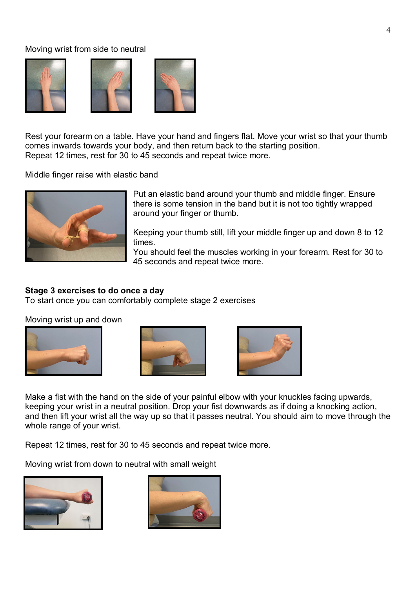#### Moving wrist from side to neutral







Rest your forearm on a table. Have your hand and fingers flat. Move your wrist so that your thumb comes inwards towards your body, and then return back to the starting position. Repeat 12 times, rest for 30 to 45 seconds and repeat twice more.

Middle finger raise with elastic band



Put an elastic band around your thumb and middle finger. Ensure there is some tension in the band but it is not too tightly wrapped around your finger or thumb.

Keeping your thumb still, lift your middle finger up and down 8 to 12 times.

You should feel the muscles working in your forearm. Rest for 30 to 45 seconds and repeat twice more.

#### **Stage 3 exercises to do once a day**

To start once you can comfortably complete stage 2 exercises

Moving wrist up and down







Make a fist with the hand on the side of your painful elbow with your knuckles facing upwards, keeping your wrist in a neutral position. Drop your fist downwards as if doing a knocking action, and then lift your wrist all the way up so that it passes neutral. You should aim to move through the whole range of your wrist.

Repeat 12 times, rest for 30 to 45 seconds and repeat twice more.

Moving wrist from down to neutral with small weight



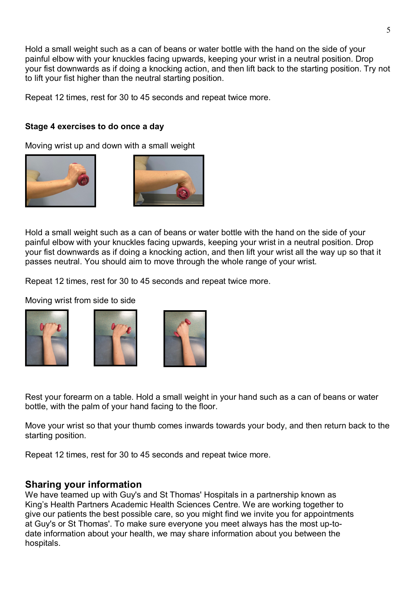Hold a small weight such as a can of beans or water bottle with the hand on the side of your painful elbow with your knuckles facing upwards, keeping your wrist in a neutral position. Drop your fist downwards as if doing a knocking action, and then lift back to the starting position. Try not to lift your fist higher than the neutral starting position.

Repeat 12 times, rest for 30 to 45 seconds and repeat twice more.

#### **Stage 4 exercises to do once a day**

Moving wrist up and down with a small weight





Hold a small weight such as a can of beans or water bottle with the hand on the side of your painful elbow with your knuckles facing upwards, keeping your wrist in a neutral position. Drop your fist downwards as if doing a knocking action, and then lift your wrist all the way up so that it passes neutral. You should aim to move through the whole range of your wrist.

Repeat 12 times, rest for 30 to 45 seconds and repeat twice more.

Moving wrist from side to side







Rest your forearm on a table. Hold a small weight in your hand such as a can of beans or water bottle, with the palm of your hand facing to the floor.

Move your wrist so that your thumb comes inwards towards your body, and then return back to the starting position.

Repeat 12 times, rest for 30 to 45 seconds and repeat twice more.

#### **Sharing your information**

We have teamed up with Guy's and St Thomas' Hospitals in a partnership known as King's Health Partners Academic Health Sciences Centre. We are working together to give our patients the best possible care, so you might find we invite you for appointments at Guy's or St Thomas'. To make sure everyone you meet always has the most up-todate information about your health, we may share information about you between the hospitals.